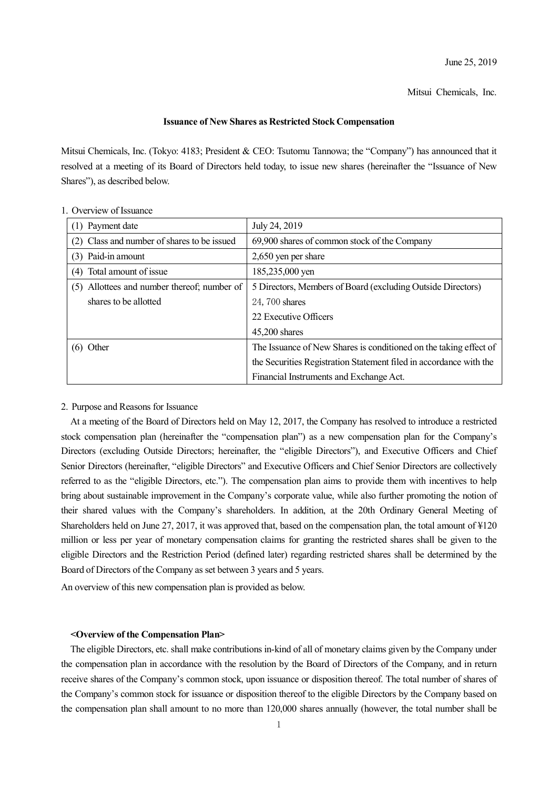Mitsui Chemicals, Inc.

### **Issuance of New Shares as Restricted Stock Compensation**

Mitsui Chemicals, Inc. (Tokyo: 4183; President & CEO: Tsutomu Tannowa; the "Company") has announced that it resolved at a meeting of its Board of Directors held today, to issue new shares (hereinafter the "Issuance of New Shares"), as described below.

| Payment date                                   | July 24, 2019                                                      |
|------------------------------------------------|--------------------------------------------------------------------|
| (2) Class and number of shares to be issued    | 69,900 shares of common stock of the Company                       |
| (3) Paid-in amount                             | 2,650 yen per share                                                |
| Total amount of issue<br>(4)                   | 185,235,000 yen                                                    |
| Allottees and number thereof; number of<br>(5) | 5 Directors, Members of Board (excluding Outside Directors)        |
| shares to be allotted                          | 24, 700 shares                                                     |
|                                                | 22 Executive Officers                                              |
|                                                | $45,200$ shares                                                    |
| Other                                          | The Issuance of New Shares is conditioned on the taking effect of  |
|                                                | the Securities Registration Statement filed in accordance with the |
|                                                | Financial Instruments and Exchange Act.                            |

## 1. Overview of Issuance

#### 2. Purpose and Reasons for Issuance

At a meeting of the Board of Directors held on May 12, 2017, the Company has resolved to introduce a restricted stock compensation plan (hereinafter the "compensation plan") as a new compensation plan for the Company's Directors (excluding Outside Directors; hereinafter, the "eligible Directors"), and Executive Officers and Chief Senior Directors (hereinafter, "eligible Directors" and Executive Officers and Chief Senior Directors are collectively referred to as the "eligible Directors, etc."). The compensation plan aims to provide them with incentives to help bring about sustainable improvement in the Company's corporate value, while also further promoting the notion of their shared values with the Company's shareholders. In addition, at the 20th Ordinary General Meeting of Shareholders held on June 27, 2017, it was approved that, based on the compensation plan, the total amount of ¥120 million or less per year of monetary compensation claims for granting the restricted shares shall be given to the eligible Directors and the Restriction Period (defined later) regarding restricted shares shall be determined by the Board of Directors of the Company as set between 3 years and 5 years.

An overview of this new compensation plan is provided as below.

#### **<Overview of the Compensation Plan>**

The eligible Directors, etc. shall make contributions in-kind of all of monetary claims given by the Company under the compensation plan in accordance with the resolution by the Board of Directors of the Company, and in return receive shares of the Company's common stock, upon issuance or disposition thereof. The total number of shares of the Company's common stock for issuance or disposition thereof to the eligible Directors by the Company based on the compensation plan shall amount to no more than 120,000 shares annually (however, the total number shall be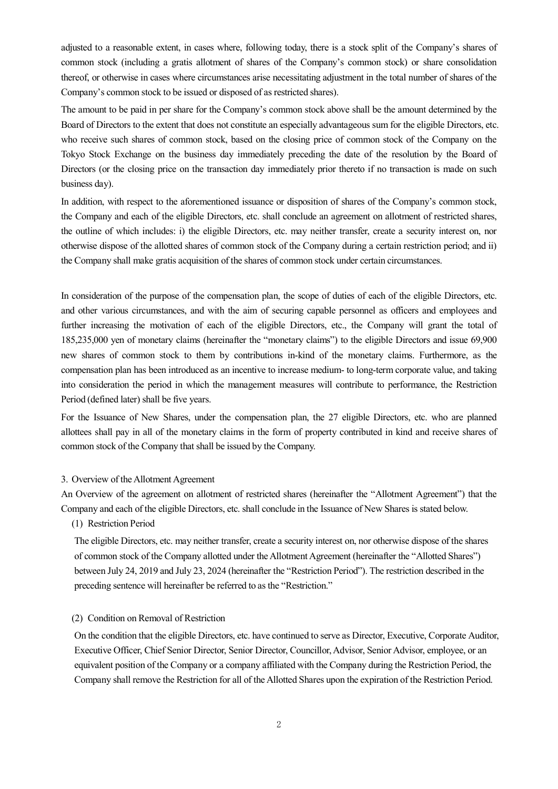adjusted to a reasonable extent, in cases where, following today, there is a stock split of the Company's shares of common stock (including a gratis allotment of shares of the Company's common stock) or share consolidation thereof, or otherwise in cases where circumstances arise necessitating adjustment in the total number of shares of the Company's common stock to be issued or disposed of as restricted shares).

The amount to be paid in per share for the Company's common stock above shall be the amount determined by the Board of Directors to the extent that does not constitute an especially advantageous sum for the eligible Directors, etc. who receive such shares of common stock, based on the closing price of common stock of the Company on the Tokyo Stock Exchange on the business day immediately preceding the date of the resolution by the Board of Directors (or the closing price on the transaction day immediately prior thereto if no transaction is made on such business day).

In addition, with respect to the aforementioned issuance or disposition of shares of the Company's common stock, the Company and each of the eligible Directors, etc. shall conclude an agreement on allotment of restricted shares, the outline of which includes: i) the eligible Directors, etc. may neither transfer, create a security interest on, nor otherwise dispose of the allotted shares of common stock of the Company during a certain restriction period; and ii) the Company shall make gratis acquisition of the shares of common stock under certain circumstances.

In consideration of the purpose of the compensation plan, the scope of duties of each of the eligible Directors, etc. and other various circumstances, and with the aim of securing capable personnel as officers and employees and further increasing the motivation of each of the eligible Directors, etc., the Company will grant the total of 185,235,000 yen of monetary claims (hereinafter the "monetary claims") to the eligible Directors and issue 69,900 new shares of common stock to them by contributions in-kind of the monetary claims. Furthermore, as the compensation plan has been introduced as an incentive to increase medium- to long-term corporate value, and taking into consideration the period in which the management measures will contribute to performance, the Restriction Period (defined later) shall be five years.

For the Issuance of New Shares, under the compensation plan, the 27 eligible Directors, etc. who are planned allottees shall pay in all of the monetary claims in the form of property contributed in kind and receive shares of common stock of the Company that shall be issued by the Company.

## 3. Overview of the Allotment Agreement

An Overview of the agreement on allotment of restricted shares (hereinafter the "Allotment Agreement") that the Company and each of the eligible Directors, etc. shall conclude in the Issuance of New Shares is stated below.

## (1) Restriction Period

The eligible Directors, etc. may neither transfer, create a security interest on, nor otherwise dispose of the shares of common stock of the Company allotted under the Allotment Agreement (hereinafter the "Allotted Shares") between July 24, 2019 and July 23, 2024 (hereinafter the "Restriction Period"). The restriction described in the preceding sentence will hereinafter be referred to as the "Restriction."

#### (2) Condition on Removal of Restriction

On the condition that the eligible Directors, etc. have continued to serve as Director, Executive, Corporate Auditor, Executive Officer, Chief Senior Director, Senior Director, Councillor, Advisor, Senior Advisor, employee, or an equivalent position of the Company or a company affiliated with the Company during the Restriction Period, the Company shall remove the Restriction for all of the Allotted Shares upon the expiration of the Restriction Period.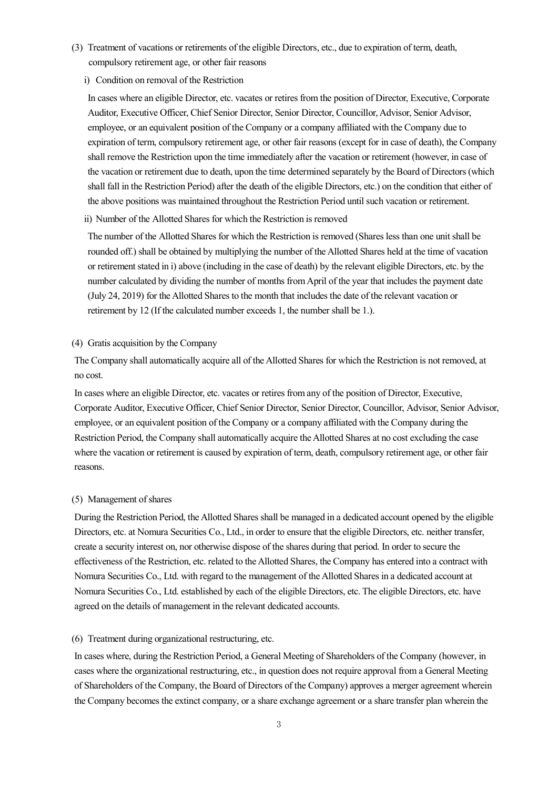- (3) Treatment of vacations or retirements of the eligible Directors, etc., due to expiration of term, death, compulsory retirement age, or other fair reasons
	- i) Condition on removal of the Restriction

In cases where an eligible Director, etc. vacates or retires from the position of Director, Executive, Corporate Auditor, Executive Officer, Chief Senior Director, Senior Director, Councillor, Advisor, Senior Advisor, employee, or an equivalent position of the Company or a company affiliated with the Company due to expiration of term, compulsory retirement age, or other fair reasons (except for in case of death), the Company shall remove the Restriction upon the time immediately after the vacation or retirement (however, in case of the vacation or retirement due to death, upon the time determined separately by the Board of Directors(which shall fall in the Restriction Period) after the death of the eligible Directors, etc.) on the condition that either of the above positions was maintained throughout the Restriction Period until such vacation or retirement.

ii) Number of the Allotted Shares for which the Restriction is removed

The number of the Allotted Shares for which the Restriction is removed (Shares less than one unit shall be rounded off.) shall be obtained by multiplying the number of the Allotted Shares held at the time of vacation or retirement stated in i) above (including in the case of death) by the relevant eligible Directors, etc. by the number calculated by dividing the number of months from April of the year that includes the payment date (July 24, 2019) for the Allotted Shares to the month that includes the date of the relevant vacation or retirement by 12 (If the calculated number exceeds 1, the number shall be 1.).

# (4) Gratis acquisition by the Company

The Company shall automatically acquire all of the Allotted Shares for which the Restriction is not removed, at no cost.

In cases where an eligible Director, etc. vacates or retires from any of the position of Director, Executive, Corporate Auditor, Executive Officer, Chief Senior Director, Senior Director, Councillor, Advisor, Senior Advisor, employee, or an equivalent position of the Company or a company affiliated with the Company during the Restriction Period, the Company shall automatically acquire the Allotted Shares at no cost excluding the case where the vacation or retirement is caused by expiration of term, death, compulsory retirement age, or other fair reasons.

## (5) Management of shares

During the Restriction Period, the Allotted Shares shall be managed in a dedicated account opened by the eligible Directors, etc. at Nomura Securities Co., Ltd., in order to ensure that the eligible Directors, etc. neither transfer, create a security interest on, nor otherwise dispose of the shares during that period. In order to secure the effectiveness of the Restriction, etc. related to the Allotted Shares, the Company has entered into a contract with Nomura Securities Co., Ltd. with regard to the management of the Allotted Shares in a dedicated account at Nomura Securities Co., Ltd. established by each of the eligible Directors, etc. The eligible Directors, etc. have agreed on the details of management in the relevant dedicated accounts.

### (6) Treatment during organizational restructuring, etc.

In cases where, during the Restriction Period, a General Meeting of Shareholders of the Company (however, in cases where the organizational restructuring, etc., in question does not require approval from a General Meeting of Shareholders of the Company, the Board of Directors of the Company) approves a merger agreement wherein the Company becomes the extinct company, or a share exchange agreement or a share transfer plan wherein the